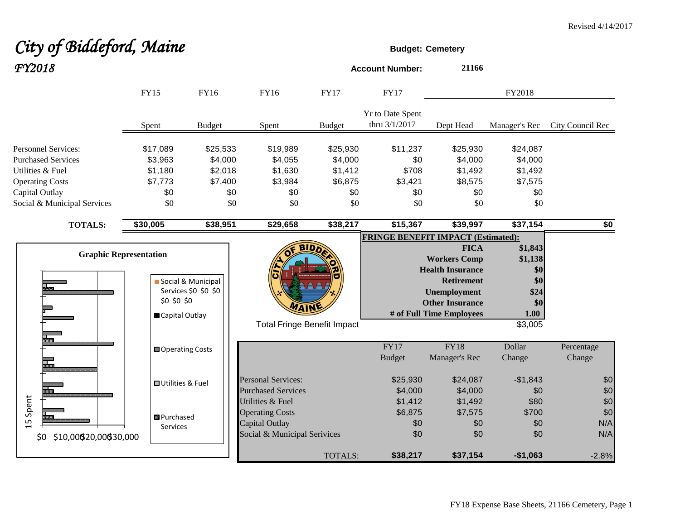# City of Biddeford, Maine *FY2018* **Account Number: <sup>21166</sup>**

|                                                                                                                                                        | <b>FY15</b>                                                    | FY16                                                    | <b>FY16</b>                                                                                  | <b>FY17</b>                                             | <b>FY17</b>                                       |                                                                                                                                                                 | FY2018                                                             |                          |
|--------------------------------------------------------------------------------------------------------------------------------------------------------|----------------------------------------------------------------|---------------------------------------------------------|----------------------------------------------------------------------------------------------|---------------------------------------------------------|---------------------------------------------------|-----------------------------------------------------------------------------------------------------------------------------------------------------------------|--------------------------------------------------------------------|--------------------------|
|                                                                                                                                                        | Spent                                                          | <b>Budget</b>                                           | Spent                                                                                        | <b>Budget</b>                                           | Yr to Date Spent<br>thru 3/1/2017                 | Dept Head                                                                                                                                                       | Manager's Rec                                                      | City Council Rec         |
| <b>Personnel Services:</b><br><b>Purchased Services</b><br>Utilities & Fuel<br><b>Operating Costs</b><br>Capital Outlay<br>Social & Municipal Services | \$17,089<br>\$3,963<br>\$1,180<br>\$7,773<br>\$0<br>\$0        | \$25,533<br>\$4,000<br>\$2,018<br>\$7,400<br>\$0<br>\$0 | \$19,989<br>\$4,055<br>\$1,630<br>\$3,984<br>\$0<br>\$0                                      | \$25,930<br>\$4,000<br>\$1,412<br>\$6,875<br>\$0<br>\$0 | \$11,237<br>\$0<br>\$708<br>\$3,421<br>\$0<br>\$0 | \$25,930<br>\$4,000<br>\$1,492<br>\$8,575<br>\$0<br>\$0                                                                                                         | \$24,087<br>\$4,000<br>\$1,492<br>\$7,575<br>\$0<br>\$0            |                          |
| <b>TOTALS:</b>                                                                                                                                         | \$30,005                                                       | \$38,951                                                | \$29,658                                                                                     | \$38,217                                                | \$15,367                                          | \$39,997                                                                                                                                                        | \$37,154                                                           | \$0                      |
|                                                                                                                                                        | <b>Graphic Representation</b><br>\$0 \$0 \$0<br>Capital Outlay | Social & Municipal<br>Services \$0 \$0 \$0              | <b>Total Fringe Benefit Impact</b>                                                           | <b>BIDA</b>                                             | <b>FRINGE BENEFIT IMPACT (Estimated):</b>         | <b>FICA</b><br><b>Workers Comp</b><br><b>Health Insurance</b><br><b>Retirement</b><br><b>Unemployment</b><br><b>Other Insurance</b><br># of Full Time Employees | \$1,843<br>\$1,138<br>\$0<br>\$0<br>\$24<br>\$0<br>1.00<br>\$3,005 |                          |
|                                                                                                                                                        | Operating Costs                                                |                                                         |                                                                                              |                                                         | FY17<br><b>Budget</b>                             | FY18<br>Manager's Rec                                                                                                                                           | Dollar<br>Change                                                   | Percentage<br>Change     |
|                                                                                                                                                        | <b>□ Utilities &amp; Fuel</b>                                  |                                                         | <b>Personal Services:</b><br><b>Purchased Services</b>                                       |                                                         | \$25,930<br>\$4,000                               | \$24,087<br>\$4,000                                                                                                                                             | $-$1,843$<br>\$0                                                   | \$0<br>\$0               |
| 15 Spent<br>\$10,000 \$20,000 \$30,000<br>\$0\$                                                                                                        | <b>B</b> Purchased<br>Services                                 |                                                         | Utilities & Fuel<br><b>Operating Costs</b><br>Capital Outlay<br>Social & Municipal Serivices |                                                         | \$1,412<br>\$6,875<br>\$0<br>\$0                  | \$1,492<br>\$7,575<br>\$0<br>\$0                                                                                                                                | \$80<br>\$700<br>\$0<br>\$0                                        | \$0<br>\$0<br>N/A<br>N/A |
|                                                                                                                                                        |                                                                |                                                         |                                                                                              | <b>TOTALS:</b>                                          | \$38,217                                          | \$37,154                                                                                                                                                        | $-$1,063$                                                          | $-2.8%$                  |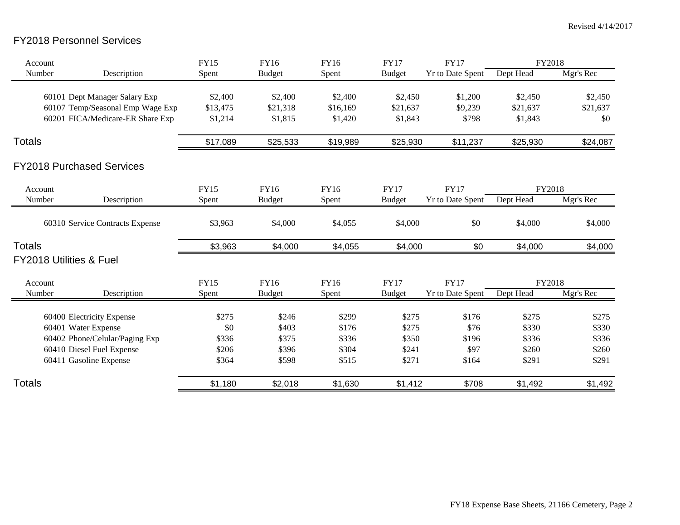### FY2018 Personnel Services

| Account       |                                    | <b>FY15</b> | <b>FY16</b>   | FY16     | <b>FY17</b>   | <b>FY17</b>             | FY2018    |           |
|---------------|------------------------------------|-------------|---------------|----------|---------------|-------------------------|-----------|-----------|
| Number        | Description                        | Spent       | <b>Budget</b> | Spent    | <b>Budget</b> | <b>Yr to Date Spent</b> | Dept Head | Mgr's Rec |
|               | 60101 Dept Manager Salary Exp      | \$2,400     | \$2,400       | \$2,400  | \$2,450       | \$1,200                 | \$2,450   | \$2,450   |
|               | 60107 Temp/Seasonal Emp Wage Exp   | \$13,475    | \$21,318      | \$16,169 | \$21,637      | \$9,239                 | \$21,637  | \$21,637  |
|               | 60201 FICA/Medicare-ER Share Exp   | \$1,214     | \$1,815       | \$1,420  | \$1,843       | \$798                   | \$1,843   | \$0       |
| Totals        |                                    | \$17,089    | \$25,533      | \$19,989 | \$25,930      | \$11,237                | \$25,930  | \$24,087  |
|               | <b>FY2018 Purchased Services</b>   |             |               |          |               |                         |           |           |
| Account       |                                    | <b>FY15</b> | FY16          | FY16     | <b>FY17</b>   | <b>FY17</b>             | FY2018    |           |
| Number        | Description                        | Spent       | <b>Budget</b> | Spent    | <b>Budget</b> | <b>Yr to Date Spent</b> | Dept Head | Mgr's Rec |
|               | 60310 Service Contracts Expense    | \$3,963     | \$4,000       | \$4,055  | \$4,000       | \$0                     | \$4,000   | \$4,000   |
| <b>Totals</b> |                                    | \$3,963     | \$4,000       | \$4,055  | \$4,000       | \$0                     | \$4,000   | \$4,000   |
|               | <b>FY2018 Utilities &amp; Fuel</b> |             |               |          |               |                         |           |           |
| Account       |                                    | <b>FY15</b> | <b>FY16</b>   | FY16     | <b>FY17</b>   | <b>FY17</b>             | FY2018    |           |
| Number        | Description                        | Spent       | <b>Budget</b> | Spent    | <b>Budget</b> | <b>Yr to Date Spent</b> | Dept Head | Mgr's Rec |
|               | 60400 Electricity Expense          | \$275       | \$246         | \$299    | \$275         | \$176                   | \$275     | \$275     |
|               | 60401 Water Expense                | \$0         | \$403         | \$176    | \$275         | \$76                    | \$330     | \$330     |
|               | 60402 Phone/Celular/Paging Exp     | \$336       | \$375         | \$336    | \$350         | \$196                   | \$336     | \$336     |
|               | 60410 Diesel Fuel Expense          | \$206       | \$396         | \$304    | \$241         | \$97                    | \$260     | \$260     |
|               | 60411 Gasoline Expense             | \$364       | \$598         | \$515    | \$271         | \$164                   | \$291     | \$291     |
| Totals        |                                    | \$1,180     | \$2,018       | \$1,630  | \$1,412       | \$708                   | \$1,492   | \$1,492   |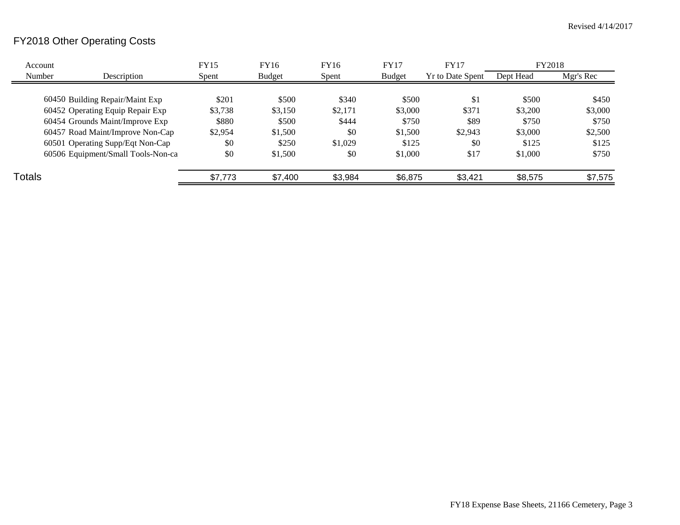## FY2018 Other Operating Costs

| Account       |                                    | <b>FY15</b> | FY16          | FY16    | <b>FY17</b>   | <b>FY17</b>      | FY2018    |           |
|---------------|------------------------------------|-------------|---------------|---------|---------------|------------------|-----------|-----------|
| Number        | Description                        | Spent       | <b>Budget</b> | Spent   | <b>Budget</b> | Yr to Date Spent | Dept Head | Mgr's Rec |
|               |                                    |             |               |         |               |                  |           |           |
|               | 60450 Building Repair/Maint Exp    | \$201       | \$500         | \$340   | \$500         | \$1              | \$500     | \$450     |
|               | 60452 Operating Equip Repair Exp   | \$3,738     | \$3,150       | \$2,171 | \$3,000       | \$371            | \$3,200   | \$3,000   |
|               | 60454 Grounds Maint/Improve Exp    | \$880       | \$500         | \$444   | \$750         | \$89             | \$750     | \$750     |
|               | 60457 Road Maint/Improve Non-Cap   | \$2,954     | \$1,500       | \$0     | \$1,500       | \$2,943          | \$3,000   | \$2,500   |
|               | 60501 Operating Supp/Eqt Non-Cap   | \$0         | \$250         | \$1,029 | \$125         | \$0              | \$125     | \$125     |
|               | 60506 Equipment/Small Tools-Non-ca | \$0         | \$1,500       | \$0     | \$1,000       | \$17             | \$1,000   | \$750     |
| <b>Totals</b> |                                    | \$7,773     | \$7,400       | \$3,984 | \$6,875       | \$3,421          | \$8,575   | \$7,575   |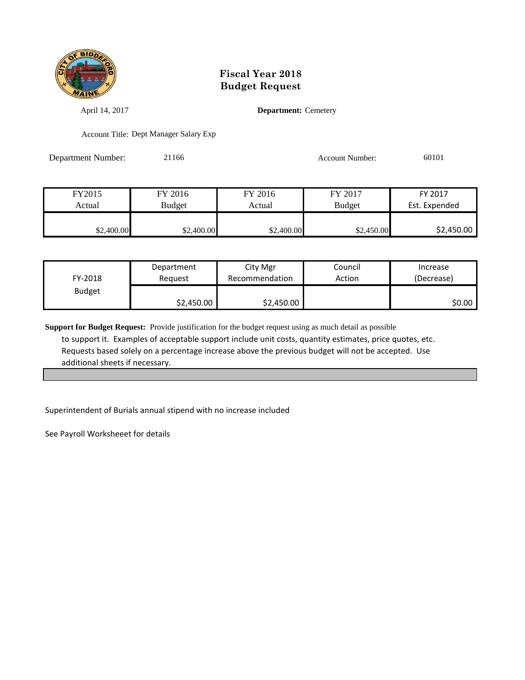

April 14, 2017 **Department:** Cemetery

Account Title: Dept Manager Salary Exp

Department Number: 21166 21166 Account Number: 60101

| FY2015     | FY 2016    | FY 2016    | FY 2017       | FY 2017       |
|------------|------------|------------|---------------|---------------|
| Actual     | Budget     | Actual     | <b>Budget</b> | Est. Expended |
|            |            |            |               |               |
| \$2,400.00 | \$2,400.00 | \$2,400.00 | \$2,450.00    | \$2,450.00    |

| FY-2018       | Department | City Mgr       | Council | Increase   |
|---------------|------------|----------------|---------|------------|
|               | Reauest    | Recommendation | Action  | (Decrease) |
| <b>Budget</b> | \$2,450.00 | \$2,450.00     |         | \$0.00     |

**Support for Budget Request:** Provide justification for the budget request using as much detail as possible to support it. Examples of acceptable support include unit costs, quantity estimates, price quotes, etc. Requests based solely on a percentage increase above the previous budget will not be accepted. Use additional sheets if necessary.

Superintendent of Burials annual stipend with no increase included

See Payroll Worksheeet for details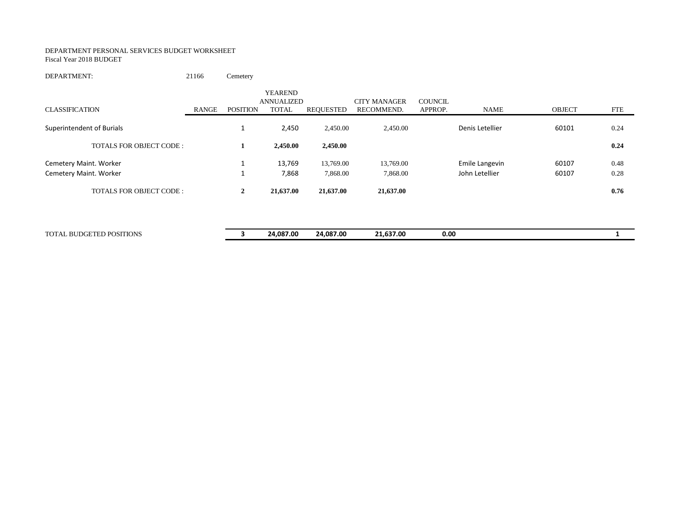#### DEPARTMENT PERSONAL SERVICES BUDGET WORKSHEET Fiscal Year 2018 BUDGET

DEPARTMENT: 21166 Cemetery

| <b>CLASSIFICATION</b>          | RANGE | POSITION       | <b>YEAREND</b><br>ANNUALIZED<br><b>TOTAL</b> | <b>REQUESTED</b> | <b>CITY MANAGER</b><br>RECOMMEND. | <b>COUNCIL</b><br>APPROP. | NAME            | <b>OBJECT</b> | <b>FTE</b> |
|--------------------------------|-------|----------------|----------------------------------------------|------------------|-----------------------------------|---------------------------|-----------------|---------------|------------|
| Superintendent of Burials      |       |                | 2,450                                        | 2,450.00         | 2,450.00                          |                           | Denis Letellier | 60101         | 0.24       |
| TOTALS FOR OBJECT CODE:        |       |                | 2,450.00                                     | 2,450.00         |                                   |                           |                 |               | 0.24       |
| Cemetery Maint. Worker         |       |                | 13,769                                       | 13,769.00        | 13,769.00                         |                           | Emile Langevin  | 60107         | 0.48       |
| Cemetery Maint. Worker         |       |                | 7,868                                        | 7,868.00         | 7,868.00                          |                           | John Letellier  | 60107         | 0.28       |
| <b>TOTALS FOR OBJECT CODE:</b> |       | $\overline{2}$ | 21,637.00                                    | 21,637.00        | 21,637.00                         |                           |                 |               | 0.76       |

| <b>TOTA</b><br>) POSITIONS<br>BU<br>$\mathbf{a}$<br>112<br>. | 24.087.00 | 24.087.00 | 1.637.00<br>. . | 0.00 |  |
|--------------------------------------------------------------|-----------|-----------|-----------------|------|--|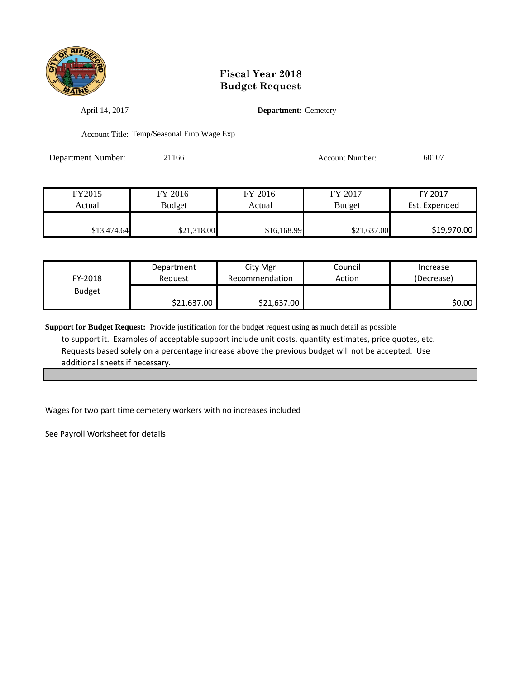

April 14, 2017 **Department:** Cemetery

Account Title: Temp/Seasonal Emp Wage Exp

Department Number: 21166 21166 Account Number: 60107

| FY2015      | FY 2016     | FY 2016     | FY 2017       | FY 2017       |
|-------------|-------------|-------------|---------------|---------------|
| Actual      | Budget      | Actual      | <b>Budget</b> | Est. Expended |
|             |             |             |               |               |
| \$13,474.64 | \$21,318.00 | \$16,168.99 | \$21,637.00   | \$19,970.00   |

| FY-2018       | Department  | City Mgr       | Council | Increase   |
|---------------|-------------|----------------|---------|------------|
|               | Reauest     | Recommendation | Action  | (Decrease) |
| <b>Budget</b> | \$21,637.00 | \$21,637.00    |         | \$0.00     |

**Support for Budget Request:** Provide justification for the budget request using as much detail as possible to support it. Examples of acceptable support include unit costs, quantity estimates, price quotes, etc. Requests based solely on a percentage increase above the previous budget will not be accepted. Use additional sheets if necessary.

Wages for two part time cemetery workers with no increases included

See Payroll Worksheet for details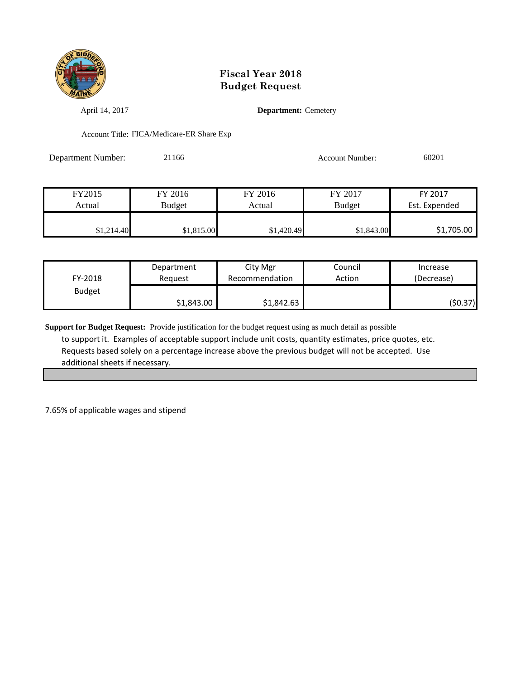

April 14, 2017 **Department:** Cemetery

Account Title: FICA/Medicare-ER Share Exp

Department Number: 21166 2010 2016 Account Number: 60201

| FY2015     | FY 2016    | FY 2016    | FY 2017       | FY 2017       |
|------------|------------|------------|---------------|---------------|
| Actual     | Budget     | Actual     | <b>Budget</b> | Est. Expended |
|            |            |            |               |               |
| \$1,214.40 | \$1,815.00 | \$1,420.49 | \$1,843.00    | \$1,705.00    |

| FY-2018       | Department | City Mgr       | Council | Increase   |
|---------------|------------|----------------|---------|------------|
|               | Reauest    | Recommendation | Action  | (Decrease) |
| <b>Budget</b> | \$1,843.00 | \$1,842.63     |         | (\$0.37)   |

**Support for Budget Request:** Provide justification for the budget request using as much detail as possible to support it. Examples of acceptable support include unit costs, quantity estimates, price quotes, etc. Requests based solely on a percentage increase above the previous budget will not be accepted. Use additional sheets if necessary.

7.65% of applicable wages and stipend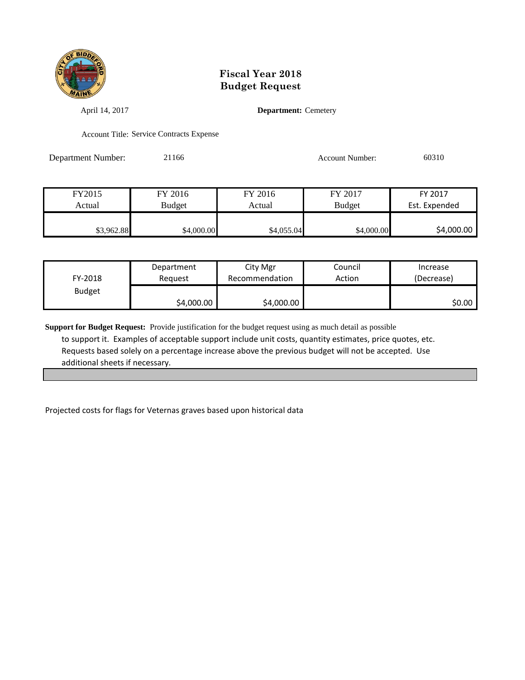

April 14, 2017 **Department:** Cemetery

Account Title: Service Contracts Expense

Department Number: 21166 21166 Account Number: 60310

| FY2015     | FY 2016    | FY 2016    | FY 2017       | FY 2017       |
|------------|------------|------------|---------------|---------------|
| Actual     | Budget     | Actual     | <b>Budget</b> | Est. Expended |
|            |            |            |               |               |
| \$3,962.88 | \$4,000.00 | \$4,055.04 | \$4,000.00    | \$4,000.00    |

| FY-2018       | Department | City Mgr       | Council | Increase   |
|---------------|------------|----------------|---------|------------|
|               | Reauest    | Recommendation | Action  | (Decrease) |
| <b>Budget</b> | \$4,000.00 | \$4,000.00     |         | SO.OO I    |

**Support for Budget Request:** Provide justification for the budget request using as much detail as possible to support it. Examples of acceptable support include unit costs, quantity estimates, price quotes, etc. Requests based solely on a percentage increase above the previous budget will not be accepted. Use additional sheets if necessary.

Projected costs for flags for Veternas graves based upon historical data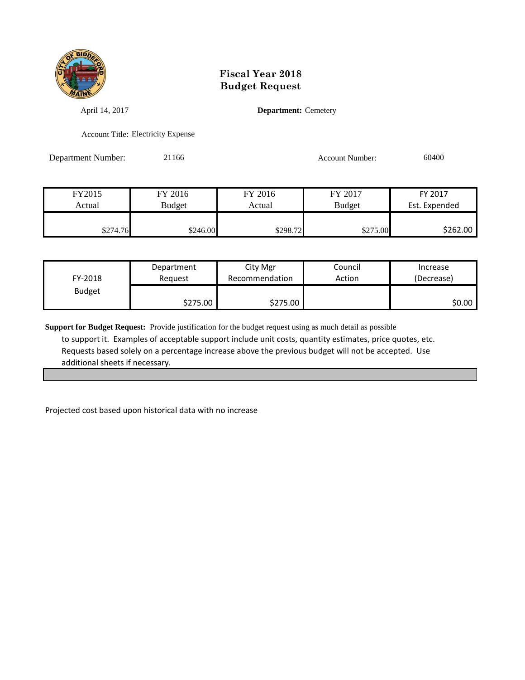

April 14, 2017 **Department:** Cemetery

Account Title: Electricity Expense

Department Number: 21166 21166 Account Number: 60400

| FY2015   | FY 2016  | FY 2016  | FY 2017       | FY 2017       |
|----------|----------|----------|---------------|---------------|
| Actual   | Budget   | Actual   | <b>Budget</b> | Est. Expended |
|          |          |          |               |               |
| \$274.76 | \$246.00 | \$298.72 | \$275.00      | \$262.00      |

| FY-2018       | Department | City Mgr       | Council | Increase   |
|---------------|------------|----------------|---------|------------|
|               | Reauest    | Recommendation | Action  | (Decrease) |
| <b>Budget</b> | \$275.00   | \$275.00       |         | ا 50.00    |

**Support for Budget Request:** Provide justification for the budget request using as much detail as possible to support it. Examples of acceptable support include unit costs, quantity estimates, price quotes, etc. Requests based solely on a percentage increase above the previous budget will not be accepted. Use additional sheets if necessary.

Projected cost based upon historical data with no increase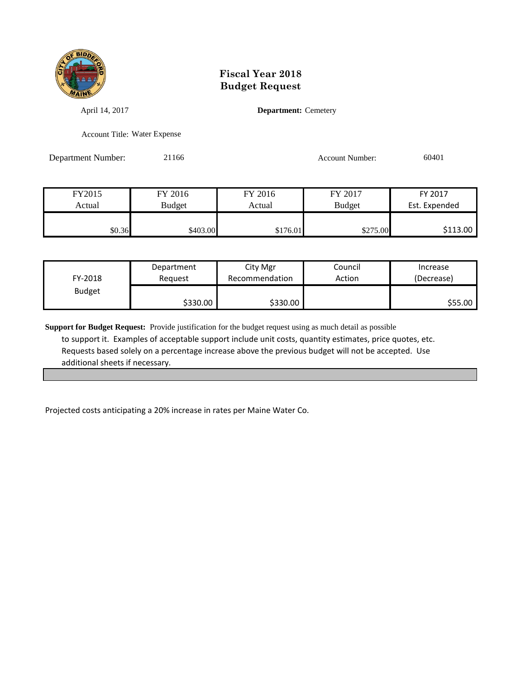

April 14, 2017 **Department:** Cemetery

Account Title: Water Expense

Department Number: 21166 21166 Account Number: 60401

| FY2015 | FY 2016  | FY 2016  | FY 2017       | FY 2017       |
|--------|----------|----------|---------------|---------------|
| Actual | Budget   | Actual   | <b>Budget</b> | Est. Expended |
|        |          |          |               |               |
| \$0.36 | \$403.00 | \$176.01 | \$275.00      | \$113.00      |

| FY-2018       | Department | City Mgr       | Council | Increase   |
|---------------|------------|----------------|---------|------------|
|               | Reguest    | Recommendation | Action  | (Decrease) |
| <b>Budget</b> | \$330.00   | \$330.00       |         | S55.00 l   |

**Support for Budget Request:** Provide justification for the budget request using as much detail as possible to support it. Examples of acceptable support include unit costs, quantity estimates, price quotes, etc. Requests based solely on a percentage increase above the previous budget will not be accepted. Use additional sheets if necessary.

Projected costs anticipating a 20% increase in rates per Maine Water Co.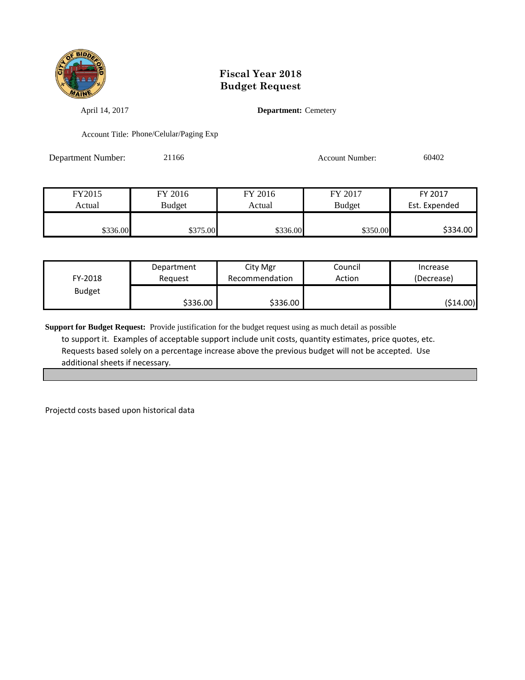

April 14, 2017 **Department:** Cemetery

Account Title: Phone/Celular/Paging Exp

Department Number: 21166 21166 Account Number: 60402

FY2015 FY 2016 FY 2016 FY 2017 FY 2017 Actual Budget Actual Budget Est. Expended \$336.00 \$375.00 \$375.00 \$336.00 \$336.00 \$336.00 \$336.00

| FY-2018       | Department | City Mgr       | Council | Increase   |
|---------------|------------|----------------|---------|------------|
|               | Reguest    | Recommendation | Action  | (Decrease) |
| <b>Budget</b> | \$336.00   | \$336.00       |         | (\$14.00)  |

**Support for Budget Request:** Provide justification for the budget request using as much detail as possible to support it. Examples of acceptable support include unit costs, quantity estimates, price quotes, etc. Requests based solely on a percentage increase above the previous budget will not be accepted. Use additional sheets if necessary.

Projectd costs based upon historical data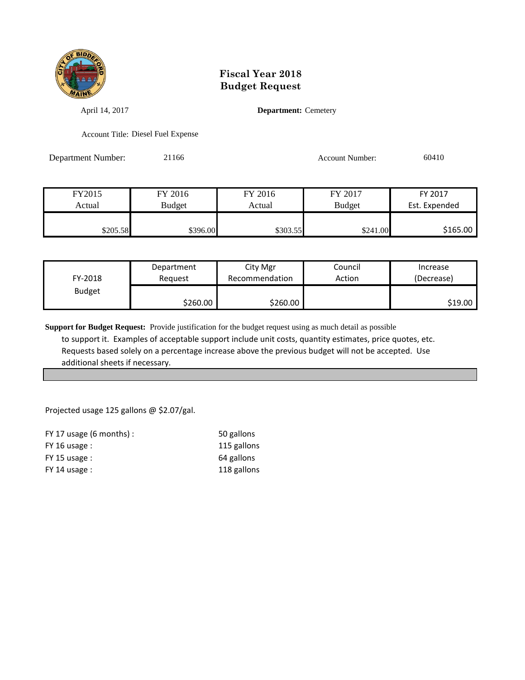

April 14, 2017 **Department:** Cemetery

Account Title: Diesel Fuel Expense

Department Number: 21166 21166 Account Number: 60410

| FY2015   | FY 2016  | FY 2016  | FY 2017       | FY 2017       |
|----------|----------|----------|---------------|---------------|
| Actual   | Budget   | Actual   | <b>Budget</b> | Est. Expended |
|          |          |          |               |               |
| \$205.58 | \$396.00 | \$303.55 | \$241.00      | \$165.00      |

| FY-2018       | Department | City Mgr       | Council | Increase   |
|---------------|------------|----------------|---------|------------|
|               | Reauest    | Recommendation | Action  | (Decrease) |
| <b>Budget</b> | \$260.00   | \$260.00       |         | S19.00     |

**Support for Budget Request:** Provide justification for the budget request using as much detail as possible to support it. Examples of acceptable support include unit costs, quantity estimates, price quotes, etc. Requests based solely on a percentage increase above the previous budget will not be accepted. Use additional sheets if necessary.

Projected usage 125 gallons @ \$2.07/gal.

| FY 17 usage $(6 \text{ months})$ : | 50 gallons  |
|------------------------------------|-------------|
| $FY$ 16 usage :                    | 115 gallons |
| $FY$ 15 usage :                    | 64 gallons  |
| $FY$ 14 usage :                    | 118 gallons |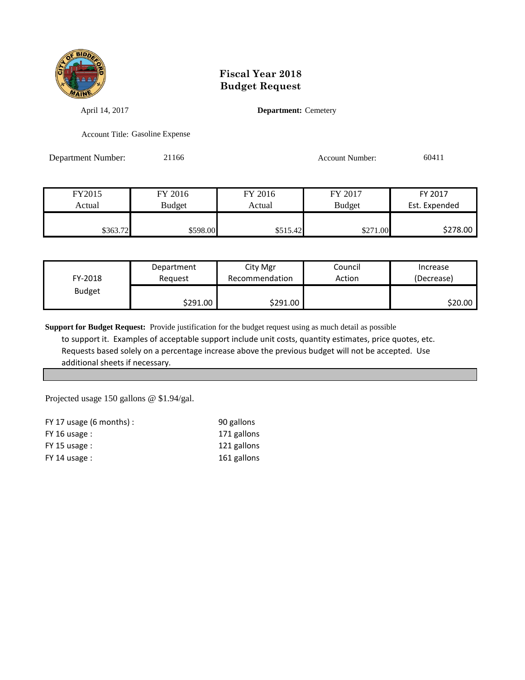

April 14, 2017 **Department:** Cemetery

Account Title: Gasoline Expense

Department Number: 21166 21166 Account Number: 60411

FY2015 FY 2016 FY 2016 FY 2017 FY 2017 Actual Budget Actual Budget Est. Expended \$363.72 \$598.00 \$515.42 \$271.00 \$278.00

| FY-2018       | Department | City Mgr       | Council | Increase   |
|---------------|------------|----------------|---------|------------|
|               | Reauest    | Recommendation | Action  | (Decrease) |
| <b>Budget</b> | \$291.00   | \$291.00       |         | \$20.00    |

**Support for Budget Request:** Provide justification for the budget request using as much detail as possible to support it. Examples of acceptable support include unit costs, quantity estimates, price quotes, etc. Requests based solely on a percentage increase above the previous budget will not be accepted. Use additional sheets if necessary.

Projected usage 150 gallons @ \$1.94/gal.

| FY 17 usage $(6 \text{ months})$ : | 90 gallons  |
|------------------------------------|-------------|
| $FY$ 16 usage :                    | 171 gallons |
| $FY$ 15 usage :                    | 121 gallons |
| $FY$ 14 usage :                    | 161 gallons |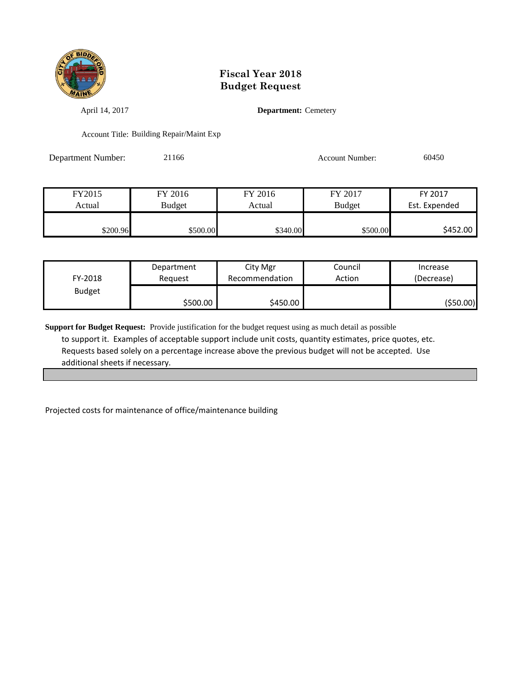

April 14, 2017 **Department:** Cemetery

Account Title: Building Repair/Maint Exp

Department Number: 21166 21166 Account Number: 60450

| FY2015   | FY 2016       | FY 2016  | FY 2017       | FY 2017       |
|----------|---------------|----------|---------------|---------------|
| Actual   | <b>Budget</b> | Actual   | <b>Budget</b> | Est. Expended |
|          |               |          |               |               |
| \$200.96 | \$500.00      | \$340.00 | \$500.00      | \$452.00      |

| FY-2018       | Department | City Mgr       | Council | Increase   |
|---------------|------------|----------------|---------|------------|
|               | Reauest    | Recommendation | Action  | (Decrease) |
| <b>Budget</b> | \$500.00   | \$450.00       |         | (\$50.00)  |

**Support for Budget Request:** Provide justification for the budget request using as much detail as possible to support it. Examples of acceptable support include unit costs, quantity estimates, price quotes, etc. Requests based solely on a percentage increase above the previous budget will not be accepted. Use additional sheets if necessary.

Projected costs for maintenance of office/maintenance building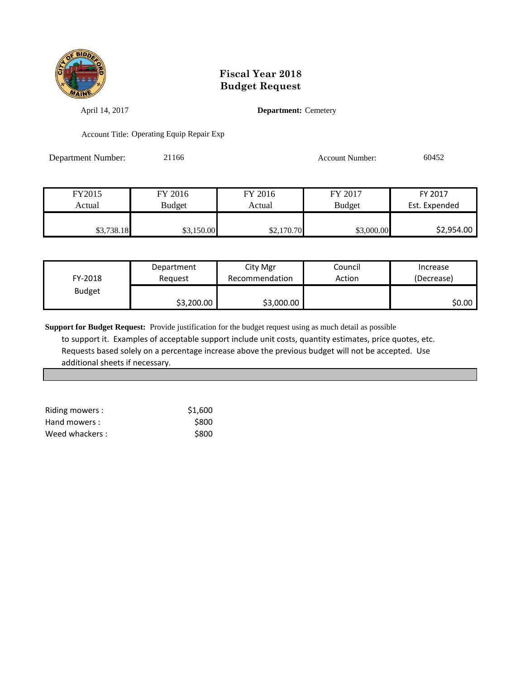

April 14, 2017 **Department:** Cemetery

Account Title: Operating Equip Repair Exp

Department Number: 21166 21166 Account Number: 60452

| FY2015     | FY 2016       | FY 2016    | FY 2017       | FY 2017       |
|------------|---------------|------------|---------------|---------------|
| Actual     | <b>Budget</b> | Actual     | <b>Budget</b> | Est. Expended |
|            |               |            |               |               |
| \$3,738.18 | \$3,150.00    | \$2,170.70 | \$3,000.00    | \$2,954.00    |

| FY-2018       | Department | City Mgr       | Council | Increase   |
|---------------|------------|----------------|---------|------------|
|               | Reauest    | Recommendation | Action  | (Decrease) |
| <b>Budget</b> | \$3,200.00 | \$3,000.00     |         | \$0.00     |

**Support for Budget Request:** Provide justification for the budget request using as much detail as possible to support it. Examples of acceptable support include unit costs, quantity estimates, price quotes, etc. Requests based solely on a percentage increase above the previous budget will not be accepted. Use additional sheets if necessary.

| Riding mowers: | \$1,600 |
|----------------|---------|
| Hand mowers :  | \$800   |
| Weed whackers: | \$800   |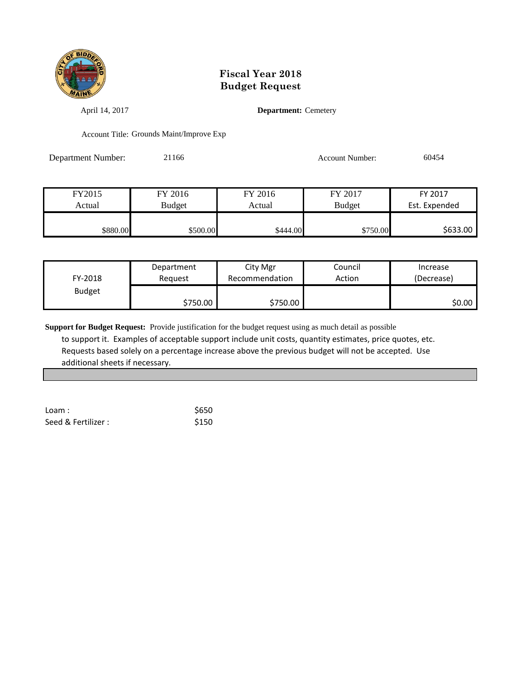

April 14, 2017 **Department:** Cemetery

Account Title: Grounds Maint/Improve Exp

Department Number: 21166 21166 Account Number: 60454

| Budget<br><b>Budget</b><br>Actual<br>Actual |                    |         |  |
|---------------------------------------------|--------------------|---------|--|
|                                             | Est. Expended      |         |  |
| FY2015<br>FY 2017                           | FY 2016<br>FY 2017 | FY 2016 |  |

| FY-2018       | Department | City Mgr       | Council | Increase   |
|---------------|------------|----------------|---------|------------|
|               | Reauest    | Recommendation | Action  | (Decrease) |
| <b>Budget</b> | \$750.00   | \$750.00       |         | \$0.00 l   |

**Support for Budget Request:** Provide justification for the budget request using as much detail as possible to support it. Examples of acceptable support include unit costs, quantity estimates, price quotes, etc. Requests based solely on a percentage increase above the previous budget will not be accepted. Use additional sheets if necessary.

| L <sub>o</sub> am:  | \$650 |
|---------------------|-------|
| Seed & Fertilizer : | \$150 |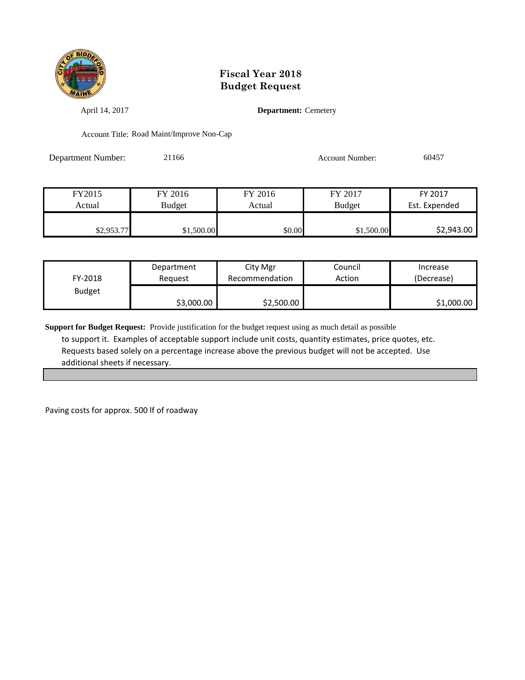

April 14, 2017 **Department:** Cemetery

Account Title: Road Maint/Improve Non-Cap

Department Number: 21166 21166 Account Number: 60457

| FY2015     | FY 2016    | FY 2016 | FY 2017       | FY 2017       |
|------------|------------|---------|---------------|---------------|
| Actual     | Budget     | Actual  | <b>Budget</b> | Est. Expended |
|            |            |         |               |               |
| \$2,953.77 | \$1,500.00 | \$0.00  | \$1,500.00    | \$2,943.00    |

| FY-2018       | Department | City Mgr       | Council | Increase   |
|---------------|------------|----------------|---------|------------|
|               | Reguest    | Recommendation | Action  | (Decrease) |
| <b>Budget</b> | \$3,000.00 | \$2,500.00     |         | \$1,000.00 |

**Support for Budget Request:** Provide justification for the budget request using as much detail as possible to support it. Examples of acceptable support include unit costs, quantity estimates, price quotes, etc. Requests based solely on a percentage increase above the previous budget will not be accepted. Use additional sheets if necessary.

Paving costs for approx. 500 lf of roadway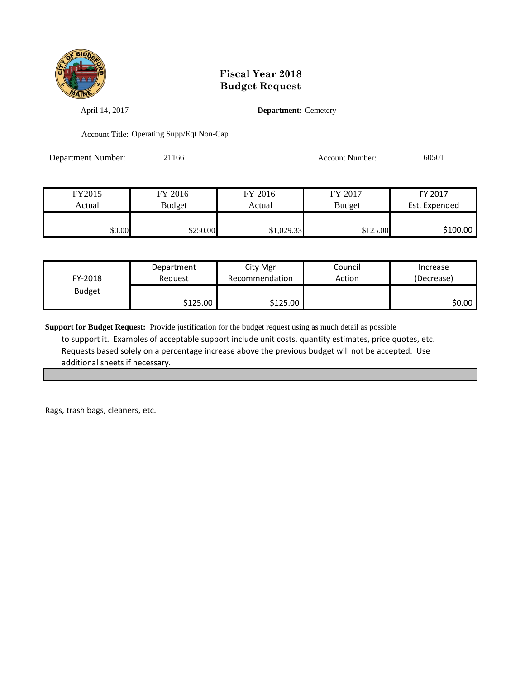

April 14, 2017 **Department:** Cemetery

Account Title: Operating Supp/Eqt Non-Cap

Department Number: 21166 21166 Account Number: 60501

| FY2015 | FY 2016  | FY 2016    | FY 2017       | FY 2017       |
|--------|----------|------------|---------------|---------------|
| Actual | Budget   | Actual     | <b>Budget</b> | Est. Expended |
|        |          |            |               |               |
| \$0.00 | \$250.00 | \$1,029.33 | \$125.00      | \$100.00      |

| FY-2018       | Department | City Mgr       | Council | Increase   |
|---------------|------------|----------------|---------|------------|
|               | Reguest    | Recommendation | Action  | (Decrease) |
| <b>Budget</b> | \$125.00   | \$125.00       |         | \$0.00     |

**Support for Budget Request:** Provide justification for the budget request using as much detail as possible to support it. Examples of acceptable support include unit costs, quantity estimates, price quotes, etc. Requests based solely on a percentage increase above the previous budget will not be accepted. Use additional sheets if necessary.

Rags, trash bags, cleaners, etc.